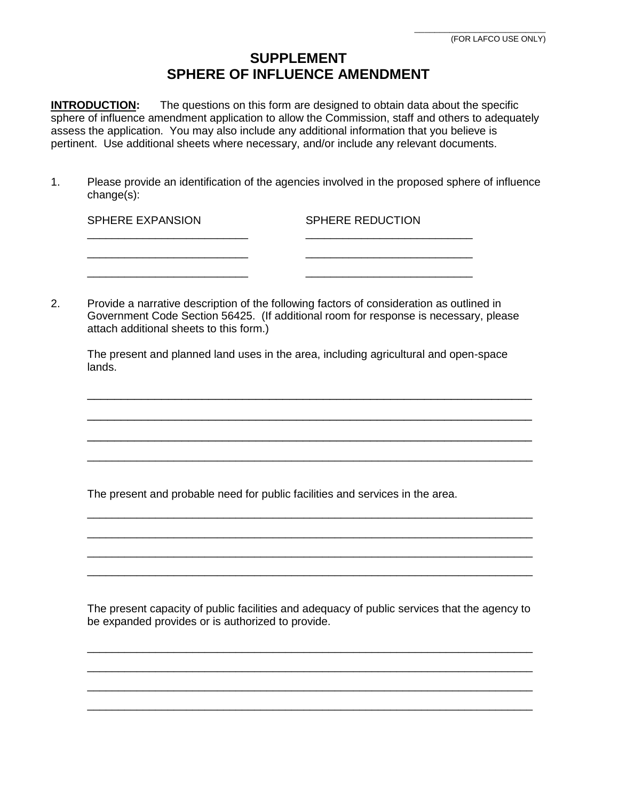## **SUPPLEMENT SPHERE OF INFLUENCE AMENDMENT**

**INTRODUCTION:** The questions on this form are designed to obtain data about the specific sphere of influence amendment application to allow the Commission, staff and others to adequately assess the application. You may also include any additional information that you believe is pertinent. Use additional sheets where necessary, and/or include any relevant documents.

1. Please provide an identification of the agencies involved in the proposed sphere of influence change(s):

| <b>SPHERE EXPANSION</b> | <b>SPHERE REDUCTION</b> |
|-------------------------|-------------------------|
|                         |                         |
|                         |                         |

2. Provide a narrative description of the following factors of consideration as outlined in Government Code Section 56425. (If additional room for response is necessary, please attach additional sheets to this form.)

The present and planned land uses in the area, including agricultural and open-space lands.

\_\_\_\_\_\_\_\_\_\_\_\_\_\_\_\_\_\_\_\_\_\_\_\_\_\_\_\_\_\_\_\_\_\_\_\_\_\_\_\_\_\_\_\_\_\_\_\_\_\_\_\_\_\_\_\_\_\_\_\_\_\_\_\_\_\_

\_\_\_\_\_\_\_\_\_\_\_\_\_\_\_\_\_\_\_\_\_\_\_\_\_\_\_\_\_\_\_\_\_\_\_\_\_\_\_\_\_\_\_\_\_\_\_\_\_\_\_\_\_\_\_\_\_\_\_\_\_\_\_\_\_\_

\_\_\_\_\_\_\_\_\_\_\_\_\_\_\_\_\_\_\_\_\_\_\_\_\_\_\_\_\_\_\_\_\_\_\_\_\_\_\_\_\_\_\_\_\_\_\_\_\_\_\_\_\_\_\_\_\_\_\_\_\_\_\_\_\_\_ \_\_\_\_\_\_\_\_\_\_\_\_\_\_\_\_\_\_\_\_\_\_\_\_\_\_\_\_\_\_\_\_\_\_\_\_\_\_\_\_\_\_\_\_\_\_\_\_\_\_\_\_\_\_\_\_\_\_\_\_\_\_\_\_\_\_\_\_\_\_\_\_

\_\_\_\_\_\_\_\_\_\_\_\_\_\_\_\_\_\_\_\_\_\_\_\_\_\_\_\_\_\_\_\_\_\_\_\_\_\_\_\_\_\_\_\_\_\_\_\_\_\_\_\_\_\_\_\_\_\_\_\_\_\_\_\_\_\_\_\_\_\_\_\_ \_\_\_\_\_\_\_\_\_\_\_\_\_\_\_\_\_\_\_\_\_\_\_\_\_\_\_\_\_\_\_\_\_\_\_\_\_\_\_\_\_\_\_\_\_\_\_\_\_\_\_\_\_\_\_\_\_\_\_\_\_\_\_\_\_\_\_\_\_\_\_\_ \_\_\_\_\_\_\_\_\_\_\_\_\_\_\_\_\_\_\_\_\_\_\_\_\_\_\_\_\_\_\_\_\_\_\_\_\_\_\_\_\_\_\_\_\_\_\_\_\_\_\_\_\_\_\_\_\_\_\_\_\_\_\_\_\_\_\_\_\_\_\_\_ \_\_\_\_\_\_\_\_\_\_\_\_\_\_\_\_\_\_\_\_\_\_\_\_\_\_\_\_\_\_\_\_\_\_\_\_\_\_\_\_\_\_\_\_\_\_\_\_\_\_\_\_\_\_\_\_\_\_\_\_\_\_\_\_\_\_\_\_\_\_\_\_

The present and probable need for public facilities and services in the area.

The present capacity of public facilities and adequacy of public services that the agency to be expanded provides or is authorized to provide.

\_\_\_\_\_\_\_\_\_\_\_\_\_\_\_\_\_\_\_\_\_\_\_\_\_\_\_\_\_\_\_\_\_\_\_\_\_\_\_\_\_\_\_\_\_\_\_\_\_\_\_\_\_\_\_\_\_\_\_\_\_\_\_\_\_\_\_\_\_\_\_\_ \_\_\_\_\_\_\_\_\_\_\_\_\_\_\_\_\_\_\_\_\_\_\_\_\_\_\_\_\_\_\_\_\_\_\_\_\_\_\_\_\_\_\_\_\_\_\_\_\_\_\_\_\_\_\_\_\_\_\_\_\_\_\_\_\_\_\_\_\_\_\_\_ \_\_\_\_\_\_\_\_\_\_\_\_\_\_\_\_\_\_\_\_\_\_\_\_\_\_\_\_\_\_\_\_\_\_\_\_\_\_\_\_\_\_\_\_\_\_\_\_\_\_\_\_\_\_\_\_\_\_\_\_\_\_\_\_\_\_\_\_\_\_\_\_ \_\_\_\_\_\_\_\_\_\_\_\_\_\_\_\_\_\_\_\_\_\_\_\_\_\_\_\_\_\_\_\_\_\_\_\_\_\_\_\_\_\_\_\_\_\_\_\_\_\_\_\_\_\_\_\_\_\_\_\_\_\_\_\_\_\_\_\_\_\_\_\_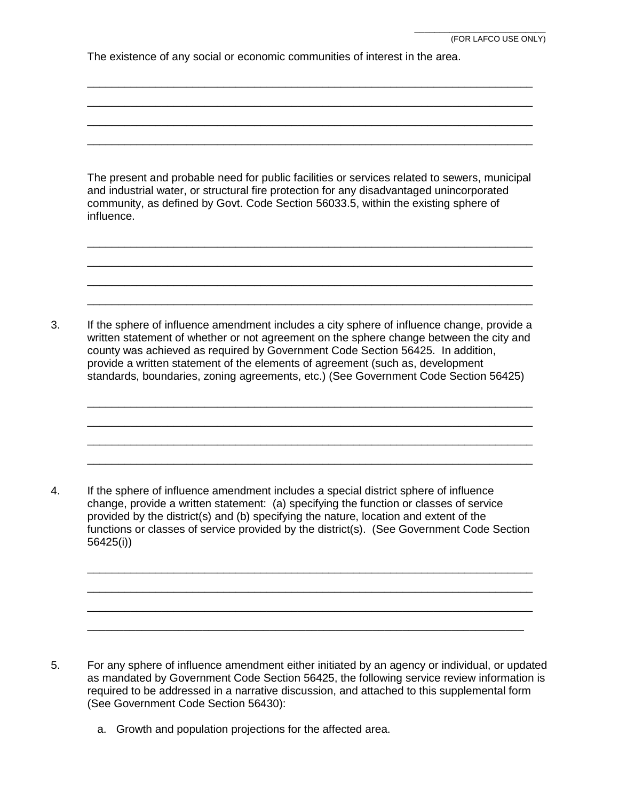The existence of any social or economic communities of interest in the area.

| The present and probable need for public facilities or services related to sewers, municipal |
|----------------------------------------------------------------------------------------------|
| and industrial water, or structural fire protection for any disadvantaged unincorporated     |
| community, as defined by Govt. Code Section 56033.5, within the existing sphere of           |
| influence.                                                                                   |

\_\_\_\_\_\_\_\_\_\_\_\_\_\_\_\_\_\_\_\_\_\_\_\_\_\_\_\_\_\_\_\_\_\_\_\_\_\_\_\_\_\_\_\_\_\_\_\_\_\_\_\_\_\_\_\_\_\_\_\_\_\_\_\_\_\_\_\_\_\_\_\_ \_\_\_\_\_\_\_\_\_\_\_\_\_\_\_\_\_\_\_\_\_\_\_\_\_\_\_\_\_\_\_\_\_\_\_\_\_\_\_\_\_\_\_\_\_\_\_\_\_\_\_\_\_\_\_\_\_\_\_\_\_\_\_\_\_\_\_\_\_\_\_\_ \_\_\_\_\_\_\_\_\_\_\_\_\_\_\_\_\_\_\_\_\_\_\_\_\_\_\_\_\_\_\_\_\_\_\_\_\_\_\_\_\_\_\_\_\_\_\_\_\_\_\_\_\_\_\_\_\_\_\_\_\_\_\_\_\_\_\_\_\_\_\_\_ \_\_\_\_\_\_\_\_\_\_\_\_\_\_\_\_\_\_\_\_\_\_\_\_\_\_\_\_\_\_\_\_\_\_\_\_\_\_\_\_\_\_\_\_\_\_\_\_\_\_\_\_\_\_\_\_\_\_\_\_\_\_\_\_\_\_\_\_\_\_\_\_

\_\_\_\_\_\_\_\_\_\_\_\_\_\_\_\_\_\_\_\_\_\_\_\_\_\_\_\_\_\_\_\_\_\_\_\_\_\_\_\_\_\_\_\_\_\_\_\_\_\_\_\_\_\_\_\_\_\_\_\_\_\_\_\_\_\_\_\_\_\_\_\_ \_\_\_\_\_\_\_\_\_\_\_\_\_\_\_\_\_\_\_\_\_\_\_\_\_\_\_\_\_\_\_\_\_\_\_\_\_\_\_\_\_\_\_\_\_\_\_\_\_\_\_\_\_\_\_\_\_\_\_\_\_\_\_\_\_\_\_\_\_\_\_\_ \_\_\_\_\_\_\_\_\_\_\_\_\_\_\_\_\_\_\_\_\_\_\_\_\_\_\_\_\_\_\_\_\_\_\_\_\_\_\_\_\_\_\_\_\_\_\_\_\_\_\_\_\_\_\_\_\_\_\_\_\_\_\_\_\_\_\_\_\_\_\_\_ \_\_\_\_\_\_\_\_\_\_\_\_\_\_\_\_\_\_\_\_\_\_\_\_\_\_\_\_\_\_\_\_\_\_\_\_\_\_\_\_\_\_\_\_\_\_\_\_\_\_\_\_\_\_\_\_\_\_\_\_\_\_\_\_\_\_\_\_\_\_\_\_

3. If the sphere of influence amendment includes a city sphere of influence change, provide a written statement of whether or not agreement on the sphere change between the city and county was achieved as required by Government Code Section 56425. In addition, provide a written statement of the elements of agreement (such as, development standards, boundaries, zoning agreements, etc.) (See Government Code Section 56425)

\_\_\_\_\_\_\_\_\_\_\_\_\_\_\_\_\_\_\_\_\_\_\_\_\_\_\_\_\_\_\_\_\_\_\_\_\_\_\_\_\_\_\_\_\_\_\_\_\_\_\_\_\_\_\_\_\_\_\_\_\_\_\_\_\_\_\_\_\_\_\_\_ \_\_\_\_\_\_\_\_\_\_\_\_\_\_\_\_\_\_\_\_\_\_\_\_\_\_\_\_\_\_\_\_\_\_\_\_\_\_\_\_\_\_\_\_\_\_\_\_\_\_\_\_\_\_\_\_\_\_\_\_\_\_\_\_\_\_\_\_\_\_\_\_ \_\_\_\_\_\_\_\_\_\_\_\_\_\_\_\_\_\_\_\_\_\_\_\_\_\_\_\_\_\_\_\_\_\_\_\_\_\_\_\_\_\_\_\_\_\_\_\_\_\_\_\_\_\_\_\_\_\_\_\_\_\_\_\_\_\_\_\_\_\_\_\_ \_\_\_\_\_\_\_\_\_\_\_\_\_\_\_\_\_\_\_\_\_\_\_\_\_\_\_\_\_\_\_\_\_\_\_\_\_\_\_\_\_\_\_\_\_\_\_\_\_\_\_\_\_\_\_\_\_\_\_\_\_\_\_\_\_\_\_\_\_\_\_\_

4. If the sphere of influence amendment includes a special district sphere of influence change, provide a written statement: (a) specifying the function or classes of service provided by the district(s) and (b) specifying the nature, location and extent of the functions or classes of service provided by the district(s). (See Government Code Section 56425(i))

\_\_\_\_\_\_\_\_\_\_\_\_\_\_\_\_\_\_\_\_\_\_\_\_\_\_\_\_\_\_\_\_\_\_\_\_\_\_\_\_\_\_\_\_\_\_\_\_\_\_\_\_\_\_\_\_\_\_\_\_\_\_\_\_\_\_\_\_\_\_\_\_ \_\_\_\_\_\_\_\_\_\_\_\_\_\_\_\_\_\_\_\_\_\_\_\_\_\_\_\_\_\_\_\_\_\_\_\_\_\_\_\_\_\_\_\_\_\_\_\_\_\_\_\_\_\_\_\_\_\_\_\_\_\_\_\_\_\_\_\_\_\_\_\_ \_\_\_\_\_\_\_\_\_\_\_\_\_\_\_\_\_\_\_\_\_\_\_\_\_\_\_\_\_\_\_\_\_\_\_\_\_\_\_\_\_\_\_\_\_\_\_\_\_\_\_\_\_\_\_\_\_\_\_\_\_\_\_\_\_\_\_\_\_\_\_\_ \_\_\_\_\_\_\_\_\_\_\_\_\_\_\_\_\_\_\_\_\_\_\_\_\_\_\_\_\_\_\_\_\_\_\_\_\_\_\_\_\_\_\_\_\_\_\_\_\_\_\_\_\_\_\_\_\_\_\_\_\_\_\_\_\_\_\_\_\_\_\_\_

- 5. For any sphere of influence amendment either initiated by an agency or individual, or updated as mandated by Government Code Section 56425, the following service review information is required to be addressed in a narrative discussion, and attached to this supplemental form (See Government Code Section 56430):
	- a. Growth and population projections for the affected area.